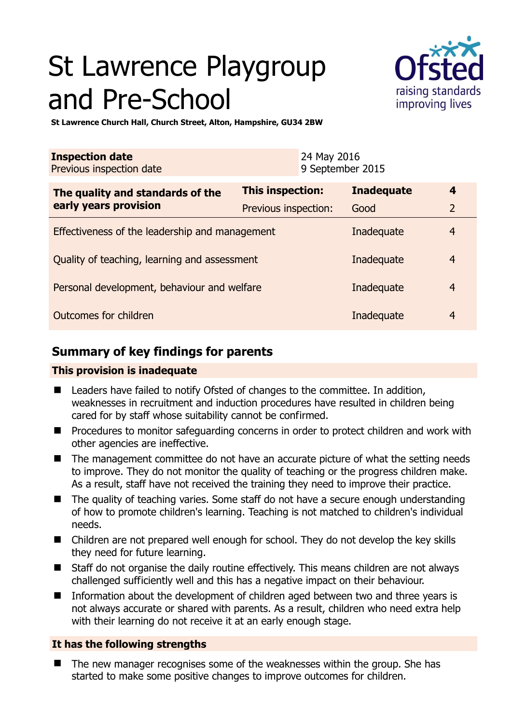# St Lawrence Playgroup and Pre-School



**St Lawrence Church Hall, Church Street, Alton, Hampshire, GU34 2BW** 

| <b>Inspection date</b><br>Previous inspection date        | 24 May 2016             | 9 September 2015  |                |
|-----------------------------------------------------------|-------------------------|-------------------|----------------|
| The quality and standards of the<br>early years provision | <b>This inspection:</b> | <b>Inadequate</b> | 4              |
|                                                           | Previous inspection:    | Good              | $\overline{2}$ |
| Effectiveness of the leadership and management            |                         | Inadequate        | $\overline{4}$ |
| Quality of teaching, learning and assessment              |                         | Inadequate        | $\overline{4}$ |
| Personal development, behaviour and welfare               |                         | Inadequate        | $\overline{4}$ |
| Outcomes for children<br>Inadequate                       |                         |                   | $\overline{4}$ |

# **Summary of key findings for parents**

# **This provision is inadequate**

- Leaders have failed to notify Ofsted of changes to the committee. In addition, weaknesses in recruitment and induction procedures have resulted in children being cared for by staff whose suitability cannot be confirmed.
- Procedures to monitor safeguarding concerns in order to protect children and work with other agencies are ineffective.
- The management committee do not have an accurate picture of what the setting needs to improve. They do not monitor the quality of teaching or the progress children make. As a result, staff have not received the training they need to improve their practice.
- The quality of teaching varies. Some staff do not have a secure enough understanding of how to promote children's learning. Teaching is not matched to children's individual needs.
- Children are not prepared well enough for school. They do not develop the key skills they need for future learning.
- Staff do not organise the daily routine effectively. This means children are not always challenged sufficiently well and this has a negative impact on their behaviour.
- Information about the development of children aged between two and three years is not always accurate or shared with parents. As a result, children who need extra help with their learning do not receive it at an early enough stage.

### **It has the following strengths**

 The new manager recognises some of the weaknesses within the group. She has started to make some positive changes to improve outcomes for children.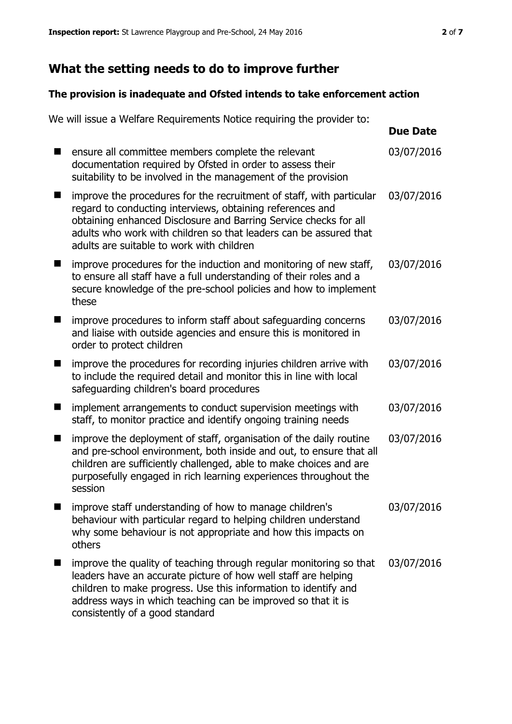# **What the setting needs to do to improve further**

# **The provision is inadequate and Ofsted intends to take enforcement action**

|   | We will issue a Welfare Requirements Notice requiring the provider to:                                                                                                                                                                                                                                                  |                 |
|---|-------------------------------------------------------------------------------------------------------------------------------------------------------------------------------------------------------------------------------------------------------------------------------------------------------------------------|-----------------|
|   |                                                                                                                                                                                                                                                                                                                         | <b>Due Date</b> |
|   | ensure all committee members complete the relevant<br>documentation required by Ofsted in order to assess their<br>suitability to be involved in the management of the provision                                                                                                                                        | 03/07/2016      |
|   | improve the procedures for the recruitment of staff, with particular<br>regard to conducting interviews, obtaining references and<br>obtaining enhanced Disclosure and Barring Service checks for all<br>adults who work with children so that leaders can be assured that<br>adults are suitable to work with children | 03/07/2016      |
| ٠ | improve procedures for the induction and monitoring of new staff,<br>to ensure all staff have a full understanding of their roles and a<br>secure knowledge of the pre-school policies and how to implement<br>these                                                                                                    | 03/07/2016      |
|   | improve procedures to inform staff about safeguarding concerns<br>and liaise with outside agencies and ensure this is monitored in<br>order to protect children                                                                                                                                                         | 03/07/2016      |
|   | improve the procedures for recording injuries children arrive with<br>to include the required detail and monitor this in line with local<br>safeguarding children's board procedures                                                                                                                                    | 03/07/2016      |
|   | implement arrangements to conduct supervision meetings with<br>staff, to monitor practice and identify ongoing training needs                                                                                                                                                                                           | 03/07/2016      |
|   | improve the deployment of staff, organisation of the daily routine<br>and pre-school environment, both inside and out, to ensure that all<br>children are sufficiently challenged, able to make choices and are<br>purposefully engaged in rich learning experiences throughout the<br>session                          | 03/07/2016      |
|   | improve staff understanding of how to manage children's<br>behaviour with particular regard to helping children understand<br>why some behaviour is not appropriate and how this impacts on<br>others                                                                                                                   | 03/07/2016      |
|   | improve the quality of teaching through regular monitoring so that<br>leaders have an accurate picture of how well staff are helping<br>children to make progress. Use this information to identify and<br>address ways in which teaching can be improved so that it is<br>consistently of a good standard              | 03/07/2016      |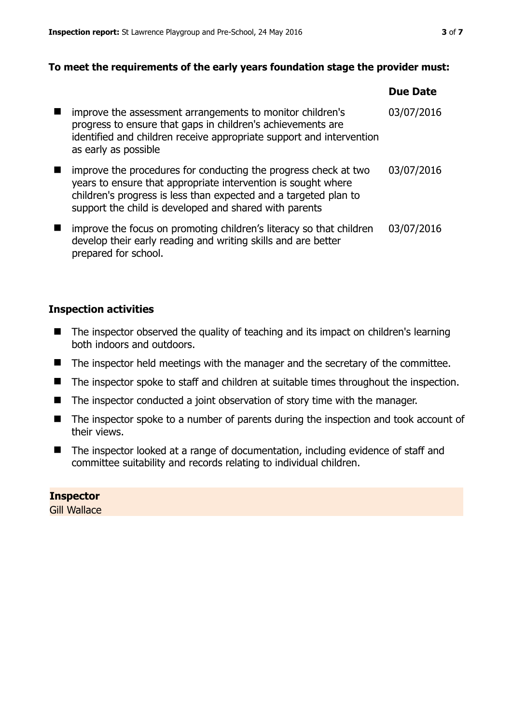## **To meet the requirements of the early years foundation stage the provider must:**

|   |                                                                                                                                                                                                                                                                | <b>Due Date</b> |
|---|----------------------------------------------------------------------------------------------------------------------------------------------------------------------------------------------------------------------------------------------------------------|-----------------|
| ш | improve the assessment arrangements to monitor children's<br>progress to ensure that gaps in children's achievements are<br>identified and children receive appropriate support and intervention<br>as early as possible                                       | 03/07/2016      |
|   | improve the procedures for conducting the progress check at two<br>years to ensure that appropriate intervention is sought where<br>children's progress is less than expected and a targeted plan to<br>support the child is developed and shared with parents | 03/07/2016      |
|   | improve the focus on promoting children's literacy so that children<br>develop their early reading and writing skills and are better<br>prepared for school.                                                                                                   | 03/07/2016      |

## **Inspection activities**

- The inspector observed the quality of teaching and its impact on children's learning both indoors and outdoors.
- The inspector held meetings with the manager and the secretary of the committee.
- The inspector spoke to staff and children at suitable times throughout the inspection.
- The inspector conducted a joint observation of story time with the manager.
- The inspector spoke to a number of parents during the inspection and took account of their views.
- The inspector looked at a range of documentation, including evidence of staff and committee suitability and records relating to individual children.

# **Inspector**

Gill Wallace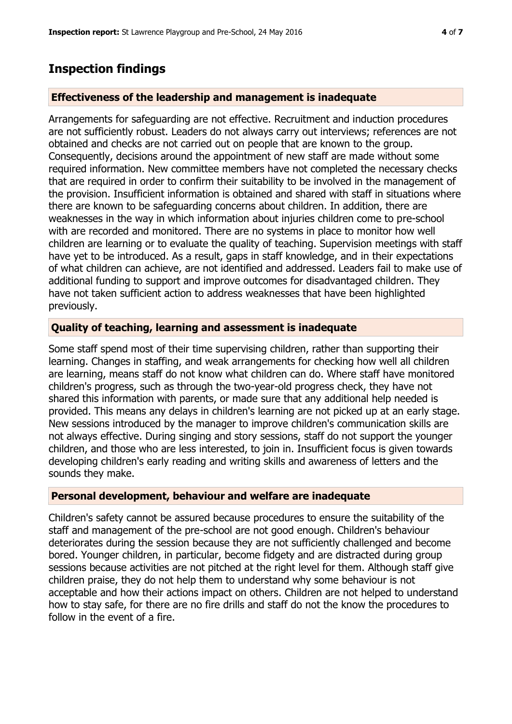# **Inspection findings**

## **Effectiveness of the leadership and management is inadequate**

Arrangements for safeguarding are not effective. Recruitment and induction procedures are not sufficiently robust. Leaders do not always carry out interviews; references are not obtained and checks are not carried out on people that are known to the group. Consequently, decisions around the appointment of new staff are made without some required information. New committee members have not completed the necessary checks that are required in order to confirm their suitability to be involved in the management of the provision. Insufficient information is obtained and shared with staff in situations where there are known to be safeguarding concerns about children. In addition, there are weaknesses in the way in which information about injuries children come to pre-school with are recorded and monitored. There are no systems in place to monitor how well children are learning or to evaluate the quality of teaching. Supervision meetings with staff have yet to be introduced. As a result, gaps in staff knowledge, and in their expectations of what children can achieve, are not identified and addressed. Leaders fail to make use of additional funding to support and improve outcomes for disadvantaged children. They have not taken sufficient action to address weaknesses that have been highlighted previously.

## **Quality of teaching, learning and assessment is inadequate**

Some staff spend most of their time supervising children, rather than supporting their learning. Changes in staffing, and weak arrangements for checking how well all children are learning, means staff do not know what children can do. Where staff have monitored children's progress, such as through the two-year-old progress check, they have not shared this information with parents, or made sure that any additional help needed is provided. This means any delays in children's learning are not picked up at an early stage. New sessions introduced by the manager to improve children's communication skills are not always effective. During singing and story sessions, staff do not support the younger children, and those who are less interested, to join in. Insufficient focus is given towards developing children's early reading and writing skills and awareness of letters and the sounds they make.

### **Personal development, behaviour and welfare are inadequate**

Children's safety cannot be assured because procedures to ensure the suitability of the staff and management of the pre-school are not good enough. Children's behaviour deteriorates during the session because they are not sufficiently challenged and become bored. Younger children, in particular, become fidgety and are distracted during group sessions because activities are not pitched at the right level for them. Although staff give children praise, they do not help them to understand why some behaviour is not acceptable and how their actions impact on others. Children are not helped to understand how to stay safe, for there are no fire drills and staff do not the know the procedures to follow in the event of a fire.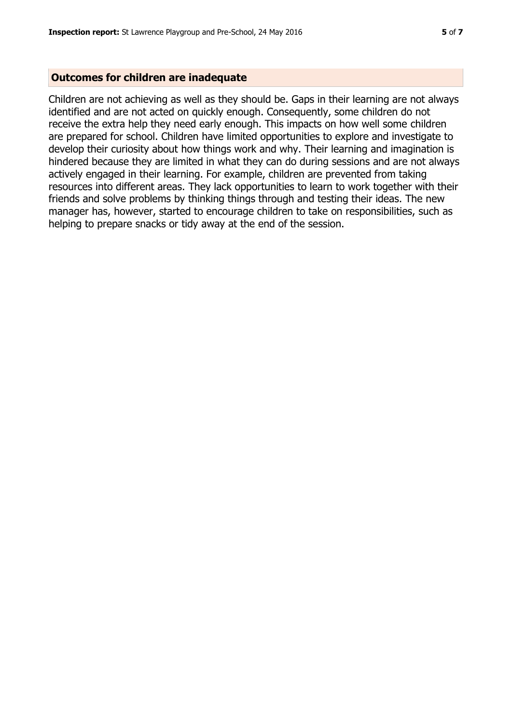#### **Outcomes for children are inadequate**

Children are not achieving as well as they should be. Gaps in their learning are not always identified and are not acted on quickly enough. Consequently, some children do not receive the extra help they need early enough. This impacts on how well some children are prepared for school. Children have limited opportunities to explore and investigate to develop their curiosity about how things work and why. Their learning and imagination is hindered because they are limited in what they can do during sessions and are not always actively engaged in their learning. For example, children are prevented from taking resources into different areas. They lack opportunities to learn to work together with their friends and solve problems by thinking things through and testing their ideas. The new manager has, however, started to encourage children to take on responsibilities, such as helping to prepare snacks or tidy away at the end of the session.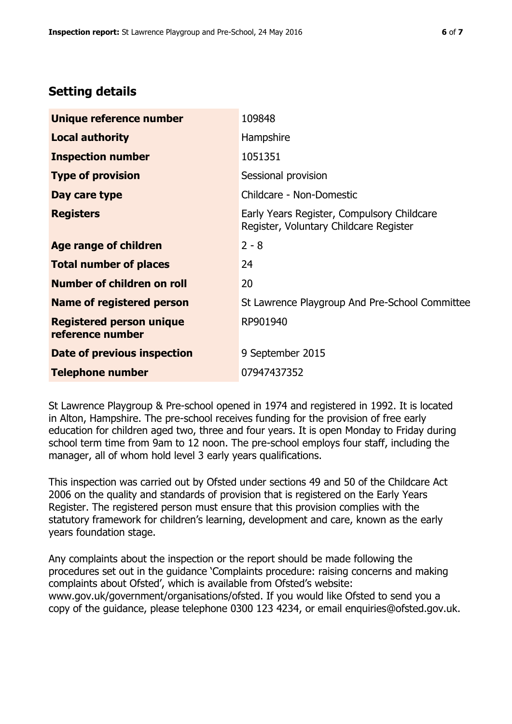# **Setting details**

| Unique reference number                             | 109848                                                                               |
|-----------------------------------------------------|--------------------------------------------------------------------------------------|
| <b>Local authority</b>                              | <b>Hampshire</b>                                                                     |
| <b>Inspection number</b>                            | 1051351                                                                              |
| <b>Type of provision</b>                            | Sessional provision                                                                  |
| Day care type                                       | Childcare - Non-Domestic                                                             |
| <b>Registers</b>                                    | Early Years Register, Compulsory Childcare<br>Register, Voluntary Childcare Register |
| Age range of children                               | $2 - 8$                                                                              |
| <b>Total number of places</b>                       | 24                                                                                   |
| Number of children on roll                          | 20                                                                                   |
| Name of registered person                           | St Lawrence Playgroup And Pre-School Committee                                       |
| <b>Registered person unique</b><br>reference number | RP901940                                                                             |
| Date of previous inspection                         | 9 September 2015                                                                     |
| <b>Telephone number</b>                             | 07947437352                                                                          |

St Lawrence Playgroup & Pre-school opened in 1974 and registered in 1992. It is located in Alton, Hampshire. The pre-school receives funding for the provision of free early education for children aged two, three and four years. It is open Monday to Friday during school term time from 9am to 12 noon. The pre-school employs four staff, including the manager, all of whom hold level 3 early years qualifications.

This inspection was carried out by Ofsted under sections 49 and 50 of the Childcare Act 2006 on the quality and standards of provision that is registered on the Early Years Register. The registered person must ensure that this provision complies with the statutory framework for children's learning, development and care, known as the early years foundation stage.

Any complaints about the inspection or the report should be made following the procedures set out in the guidance 'Complaints procedure: raising concerns and making complaints about Ofsted', which is available from Ofsted's website: www.gov.uk/government/organisations/ofsted. If you would like Ofsted to send you a copy of the guidance, please telephone 0300 123 4234, or email enquiries@ofsted.gov.uk.